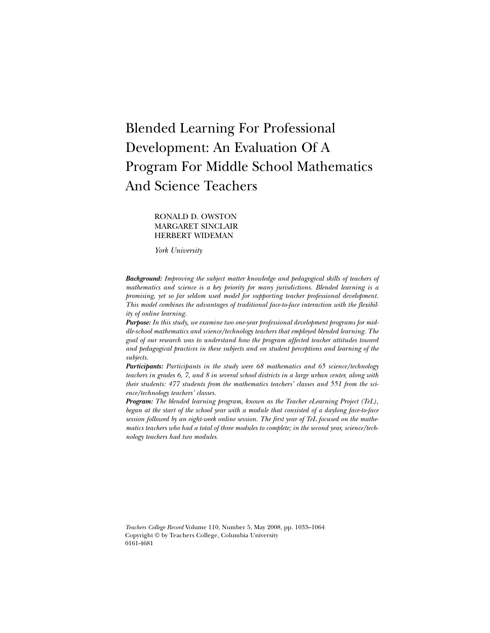# Blended Learning For Professional Development: An Evaluation Of A Program For Middle School Mathematics And Science Teachers

# RONALD D. OWSTON MARGARET SINCLAIR HERBERT WIDEMAN

*York University* 

*Background: Improving the subject matter knowledge and pedagogical skills of teachers of mathematics and science is a key priority for many jurisdictions. Blended learning is a promising, yet so far seldom used model for supporting teacher professional development. This model combines the advantages of traditional face-to-face interaction with the flexibility of online learning.* 

*Purpose: In this study, we examine two one-year professional development programs for middle-school mathematics and science/technology teachers that employed blended learning. The goal of our research was to understand how the program affected teacher attitudes toward and pedagogical practices in these subjects and on student perceptions and learning of the subjects.*

*Participants: Participants in the study were 68 mathematics and 65 science/technology teachers in grades 6, 7, and 8 in several school districts in a large urban center, along with their students: 477 students from the mathematics teachers' classes and 551 from the science/technology teachers' classes.*

*Program: The blended learning program, known as the Teacher eLearning Project (TeL), began at the start of the school year with a module that consisted of a daylong face-to-face session followed by an eight-week online session. The first year of TeL focused on the mathematics teachers who had a total of three modules to complete; in the second year, science/technology teachers had two modules.*

*Teachers College Record* Volume 110, Number 5, May 2008, pp. 1033–1064 Copyright © by Teachers College, Columbia University 0161-4681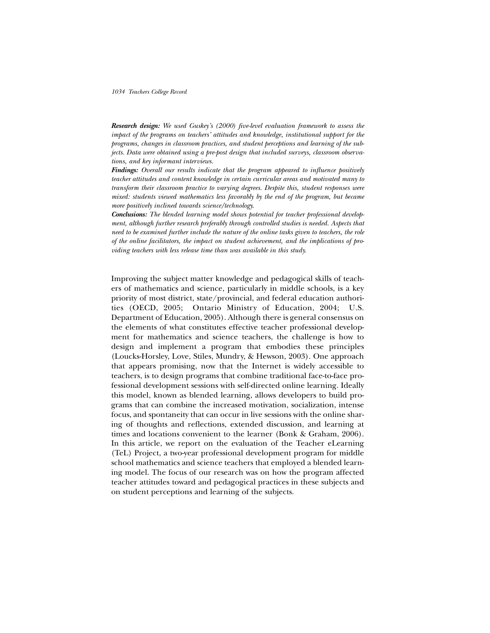*Research design: We used Guskey's (2000) five-level evaluation framework to assess the impact of the programs on teachers' attitudes and knowledge, institutional support for the programs, changes in classroom practices, and student perceptions and learning of the subjects. Data were obtained using a pre-post design that included surveys, classroom observations, and key informant interviews.*

*Findings: Overall our results indicate that the program appeared to influence positively teacher attitudes and content knowledge in certain curricular areas and motivated many to transform their classroom practice to varying degrees. Despite this, student responses were mixed: students viewed mathematics less favorably by the end of the program, but became more positively inclined towards science/technology.* 

*Conclusions: The blended learning model shows potential for teacher professional development, although further research preferably through controlled studies is needed. Aspects that need to be examined further include the nature of the online tasks given to teachers, the role of the online facilitators, the impact on student achievement, and the implications of providing teachers with less release time than was available in this study.*

Improving the subject matter knowledge and pedagogical skills of teachers of mathematics and science, particularly in middle schools, is a key priority of most district, state/provincial, and federal education authorities (OECD, 2005; Ontario Ministry of Education, 2004; U.S. Department of Education, 2005). Although there is general consensus on the elements of what constitutes effective teacher professional development for mathematics and science teachers, the challenge is how to design and implement a program that embodies these principles (Loucks-Horsley, Love, Stiles, Mundry, & Hewson, 2003). One approach that appears promising, now that the Internet is widely accessible to teachers, is to design programs that combine traditional face-to-face professional development sessions with self-directed online learning. Ideally this model, known as blended learning, allows developers to build programs that can combine the increased motivation, socialization, intense focus, and spontaneity that can occur in live sessions with the online sharing of thoughts and reflections, extended discussion, and learning at times and locations convenient to the learner (Bonk & Graham, 2006). In this article, we report on the evaluation of the Teacher eLearning (TeL) Project, a two-year professional development program for middle school mathematics and science teachers that employed a blended learning model. The focus of our research was on how the program affected teacher attitudes toward and pedagogical practices in these subjects and on student perceptions and learning of the subjects.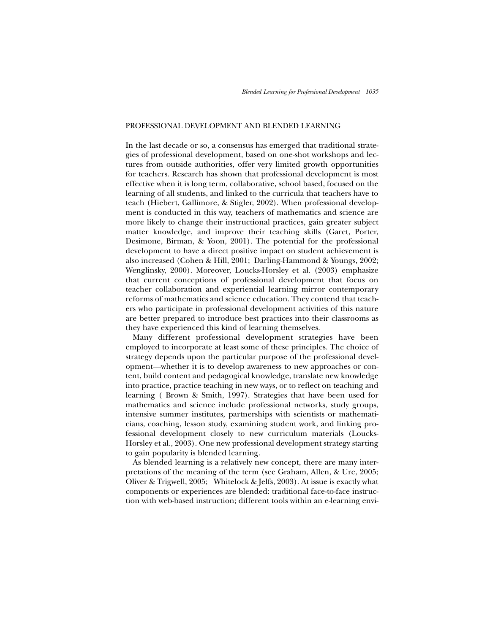# PROFESSIONAL DEVELOPMENT AND BLENDED LEARNING

In the last decade or so, a consensus has emerged that traditional strategies of professional development, based on one-shot workshops and lectures from outside authorities, offer very limited growth opportunities for teachers. Research has shown that professional development is most effective when it is long term, collaborative, school based, focused on the learning of all students, and linked to the curricula that teachers have to teach (Hiebert, Gallimore, & Stigler, 2002). When professional development is conducted in this way, teachers of mathematics and science are more likely to change their instructional practices, gain greater subject matter knowledge, and improve their teaching skills (Garet, Porter, Desimone, Birman, & Yoon, 2001). The potential for the professional development to have a direct positive impact on student achievement is also increased (Cohen & Hill, 2001; Darling-Hammond & Youngs, 2002; Wenglinsky, 2000). Moreover, Loucks-Horsley et al. (2003) emphasize that current conceptions of professional development that focus on teacher collaboration and experiential learning mirror contemporary reforms of mathematics and science education. They contend that teachers who participate in professional development activities of this nature are better prepared to introduce best practices into their classrooms as they have experienced this kind of learning themselves.

Many different professional development strategies have been employed to incorporate at least some of these principles. The choice of strategy depends upon the particular purpose of the professional development—whether it is to develop awareness to new approaches or content, build content and pedagogical knowledge, translate new knowledge into practice, practice teaching in new ways, or to reflect on teaching and learning ( Brown & Smith, 1997). Strategies that have been used for mathematics and science include professional networks, study groups, intensive summer institutes, partnerships with scientists or mathematicians, coaching, lesson study, examining student work, and linking professional development closely to new curriculum materials (Loucks-Horsley et al., 2003). One new professional development strategy starting to gain popularity is blended learning.

As blended learning is a relatively new concept, there are many interpretations of the meaning of the term (see Graham, Allen, & Ure, 2005; Oliver & Trigwell, 2005; Whitelock & Jelfs, 2003). At issue is exactly what components or experiences are blended: traditional face-to-face instruction with web-based instruction; different tools within an e-learning envi-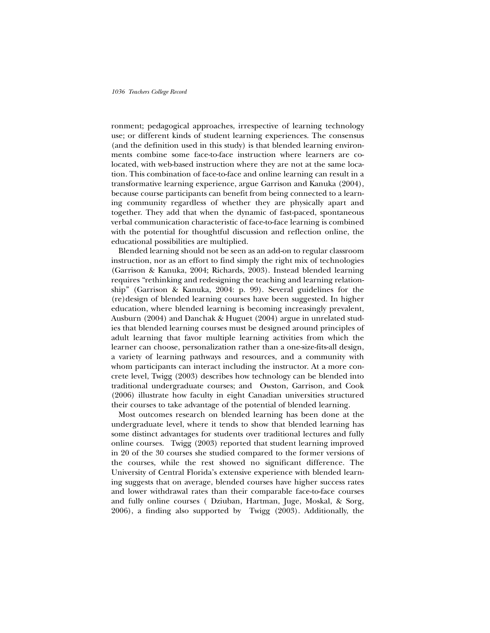ronment; pedagogical approaches, irrespective of learning technology use; or different kinds of student learning experiences. The consensus (and the definition used in this study) is that blended learning environments combine some face-to-face instruction where learners are colocated, with web-based instruction where they are not at the same location. This combination of face-to-face and online learning can result in a transformative learning experience, argue Garrison and Kanuka (2004), because course participants can benefit from being connected to a learning community regardless of whether they are physically apart and together. They add that when the dynamic of fast-paced, spontaneous verbal communication characteristic of face-to-face learning is combined with the potential for thoughtful discussion and reflection online, the educational possibilities are multiplied.

Blended learning should not be seen as an add-on to regular classroom instruction, nor as an effort to find simply the right mix of technologies (Garrison & Kanuka, 2004; Richards, 2003). Instead blended learning requires "rethinking and redesigning the teaching and learning relationship" (Garrison & Kanuka, 2004: p. 99). Several guidelines for the (re)design of blended learning courses have been suggested. In higher education, where blended learning is becoming increasingly prevalent, Ausburn (2004) and Danchak & Huguet (2004) argue in unrelated studies that blended learning courses must be designed around principles of adult learning that favor multiple learning activities from which the learner can choose, personalization rather than a one-size-fits-all design, a variety of learning pathways and resources, and a community with whom participants can interact including the instructor. At a more concrete level, Twigg (2003) describes how technology can be blended into traditional undergraduate courses; and Owston, Garrison, and Cook (2006) illustrate how faculty in eight Canadian universities structured their courses to take advantage of the potential of blended learning.

Most outcomes research on blended learning has been done at the undergraduate level, where it tends to show that blended learning has some distinct advantages for students over traditional lectures and fully online courses. Twigg (2003) reported that student learning improved in 20 of the 30 courses she studied compared to the former versions of the courses, while the rest showed no significant difference. The University of Central Florida's extensive experience with blended learning suggests that on average, blended courses have higher success rates and lower withdrawal rates than their comparable face-to-face courses and fully online courses ( Dziuban, Hartman, Juge, Moskal, & Sorg, 2006), a finding also supported by Twigg (2003). Additionally, the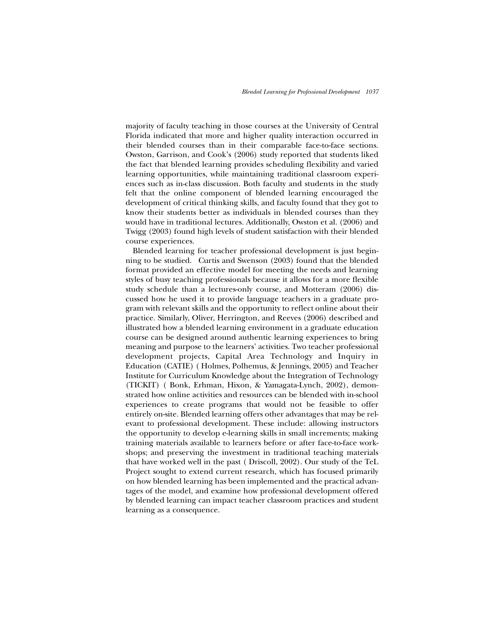majority of faculty teaching in those courses at the University of Central Florida indicated that more and higher quality interaction occurred in their blended courses than in their comparable face-to-face sections. Owston, Garrison, and Cook's (2006) study reported that students liked the fact that blended learning provides scheduling flexibility and varied learning opportunities, while maintaining traditional classroom experiences such as in-class discussion. Both faculty and students in the study felt that the online component of blended learning encouraged the development of critical thinking skills, and faculty found that they got to know their students better as individuals in blended courses than they would have in traditional lectures. Additionally, Owston et al. (2006) and Twigg (2003) found high levels of student satisfaction with their blended course experiences.

Blended learning for teacher professional development is just beginning to be studied. Curtis and Swenson (2003) found that the blended format provided an effective model for meeting the needs and learning styles of busy teaching professionals because it allows for a more flexible study schedule than a lectures-only course, and Motteram (2006) discussed how he used it to provide language teachers in a graduate program with relevant skills and the opportunity to reflect online about their practice. Similarly, Oliver, Herrington, and Reeves (2006) described and illustrated how a blended learning environment in a graduate education course can be designed around authentic learning experiences to bring meaning and purpose to the learners' activities. Two teacher professional development projects, Capital Area Technology and Inquiry in Education (CATIE) ( Holmes, Polhemus, & Jennings, 2005) and Teacher Institute for Curriculum Knowledge about the Integration of Technology (TICKIT) ( Bonk, Erhman, Hixon, & Yamagata-Lynch, 2002), demonstrated how online activities and resources can be blended with in-school experiences to create programs that would not be feasible to offer entirely on-site. Blended learning offers other advantages that may be relevant to professional development. These include: allowing instructors the opportunity to develop e-learning skills in small increments; making training materials available to learners before or after face-to-face workshops; and preserving the investment in traditional teaching materials that have worked well in the past ( Driscoll, 2002). Our study of the TeL Project sought to extend current research, which has focused primarily on how blended learning has been implemented and the practical advantages of the model, and examine how professional development offered by blended learning can impact teacher classroom practices and student learning as a consequence.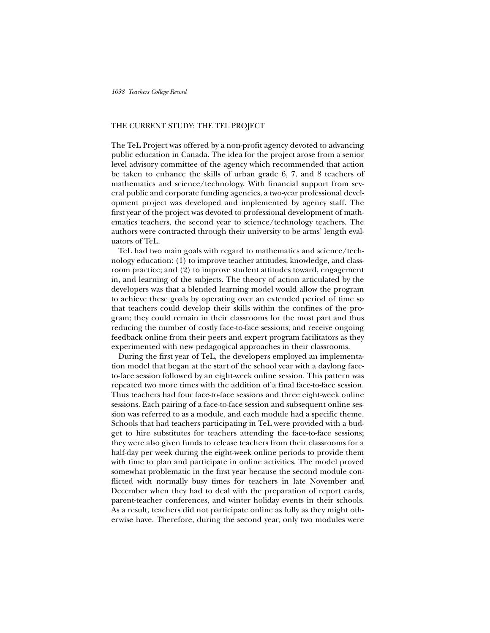# THE CURRENT STUDY: THE TEL PROJECT

The TeL Project was offered by a non-profit agency devoted to advancing public education in Canada. The idea for the project arose from a senior level advisory committee of the agency which recommended that action be taken to enhance the skills of urban grade 6, 7, and 8 teachers of mathematics and science/technology. With financial support from several public and corporate funding agencies, a two-year professional development project was developed and implemented by agency staff. The first year of the project was devoted to professional development of mathematics teachers, the second year to science/technology teachers. The authors were contracted through their university to be arms' length evaluators of TeL.

TeL had two main goals with regard to mathematics and science/technology education: (1) to improve teacher attitudes, knowledge, and classroom practice; and (2) to improve student attitudes toward, engagement in, and learning of the subjects. The theory of action articulated by the developers was that a blended learning model would allow the program to achieve these goals by operating over an extended period of time so that teachers could develop their skills within the confines of the program; they could remain in their classrooms for the most part and thus reducing the number of costly face-to-face sessions; and receive ongoing feedback online from their peers and expert program facilitators as they experimented with new pedagogical approaches in their classrooms.

During the first year of TeL, the developers employed an implementation model that began at the start of the school year with a daylong faceto-face session followed by an eight-week online session. This pattern was repeated two more times with the addition of a final face-to-face session. Thus teachers had four face-to-face sessions and three eight-week online sessions. Each pairing of a face-to-face session and subsequent online session was referred to as a module, and each module had a specific theme. Schools that had teachers participating in TeL were provided with a budget to hire substitutes for teachers attending the face-to-face sessions; they were also given funds to release teachers from their classrooms for a half-day per week during the eight-week online periods to provide them with time to plan and participate in online activities. The model proved somewhat problematic in the first year because the second module conflicted with normally busy times for teachers in late November and December when they had to deal with the preparation of report cards, parent-teacher conferences, and winter holiday events in their schools. As a result, teachers did not participate online as fully as they might otherwise have. Therefore, during the second year, only two modules were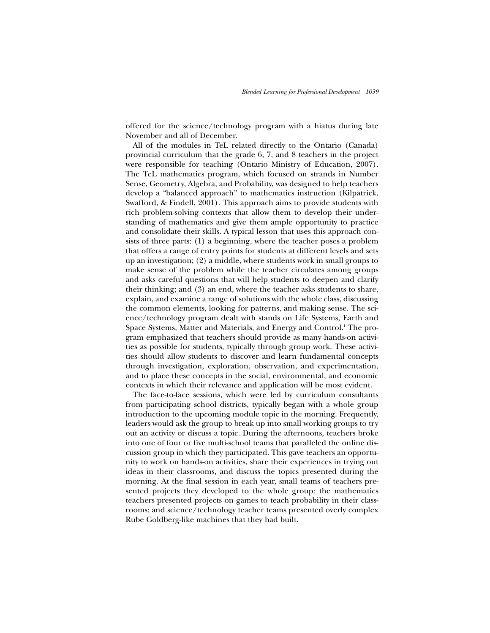offered for the science/technology program with a hiatus during late November and all of December.

All of the modules in TeL related directly to the Ontario (Canada) provincial curriculum that the grade 6, 7, and 8 teachers in the project were responsible for teaching (Ontario Ministry of Education, 2007). The TeL mathematics program, which focused on strands in Number Sense, Geometry, Algebra, and Probability, was designed to help teachers develop a "balanced approach" to mathematics instruction (Kilpatrick, Swafford, & Findell, 2001). This approach aims to provide students with rich problem-solving contexts that allow them to develop their understanding of mathematics and give them ample opportunity to practice and consolidate their skills. A typical lesson that uses this approach consists of three parts: (1) a beginning, where the teacher poses a problem that offers a range of entry points for students at different levels and sets up an investigation; (2) a middle, where students work in small groups to make sense of the problem while the teacher circulates among groups and asks careful questions that will help students to deepen and clarify their thinking; and (3) an end, where the teacher asks students to share, explain, and examine a range of solutions with the whole class, discussing the common elements, looking for patterns, and making sense. The science/technology program dealt with stands on Life Systems, Earth and Space Systems, Matter and Materials, and Energy and Control.1 The program emphasized that teachers should provide as many hands-on activities as possible for students, typically through group work. These activities should allow students to discover and learn fundamental concepts through investigation, exploration, observation, and experimentation, and to place these concepts in the social, environmental, and economic contexts in which their relevance and application will be most evident.

The face-to-face sessions, which were led by curriculum consultants from participating school districts, typically began with a whole group introduction to the upcoming module topic in the morning. Frequently, leaders would ask the group to break up into small working groups to try out an activity or discuss a topic. During the afternoons, teachers broke into one of four or five multi-school teams that paralleled the online discussion group in which they participated. This gave teachers an opportunity to work on hands-on activities, share their experiences in trying out ideas in their classrooms, and discuss the topics presented during the morning. At the final session in each year, small teams of teachers presented projects they developed to the whole group: the mathematics teachers presented projects on games to teach probability in their classrooms; and science/technology teacher teams presented overly complex Rube Goldberg-like machines that they had built.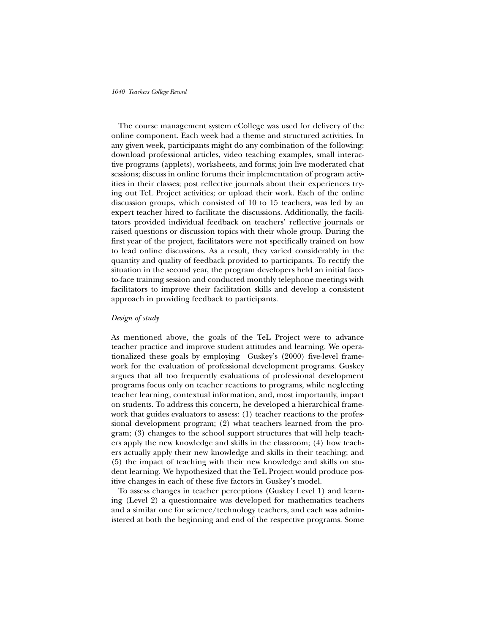The course management system eCollege was used for delivery of the online component. Each week had a theme and structured activities. In any given week, participants might do any combination of the following: download professional articles, video teaching examples, small interactive programs (applets), worksheets, and forms; join live moderated chat sessions; discuss in online forums their implementation of program activities in their classes; post reflective journals about their experiences trying out TeL Project activities; or upload their work. Each of the online discussion groups, which consisted of 10 to 15 teachers, was led by an expert teacher hired to facilitate the discussions. Additionally, the facilitators provided individual feedback on teachers' reflective journals or raised questions or discussion topics with their whole group. During the first year of the project, facilitators were not specifically trained on how to lead online discussions. As a result, they varied considerably in the quantity and quality of feedback provided to participants. To rectify the situation in the second year, the program developers held an initial faceto-face training session and conducted monthly telephone meetings with facilitators to improve their facilitation skills and develop a consistent approach in providing feedback to participants.

## *Design of study*

As mentioned above, the goals of the TeL Project were to advance teacher practice and improve student attitudes and learning. We operationalized these goals by employing Guskey's (2000) five-level framework for the evaluation of professional development programs. Guskey argues that all too frequently evaluations of professional development programs focus only on teacher reactions to programs, while neglecting teacher learning, contextual information, and, most importantly, impact on students. To address this concern, he developed a hierarchical framework that guides evaluators to assess: (1) teacher reactions to the professional development program; (2) what teachers learned from the program; (3) changes to the school support structures that will help teachers apply the new knowledge and skills in the classroom; (4) how teachers actually apply their new knowledge and skills in their teaching; and (5) the impact of teaching with their new knowledge and skills on student learning. We hypothesized that the TeL Project would produce positive changes in each of these five factors in Guskey's model.

To assess changes in teacher perceptions (Guskey Level 1) and learning (Level 2) a questionnaire was developed for mathematics teachers and a similar one for science/technology teachers, and each was administered at both the beginning and end of the respective programs. Some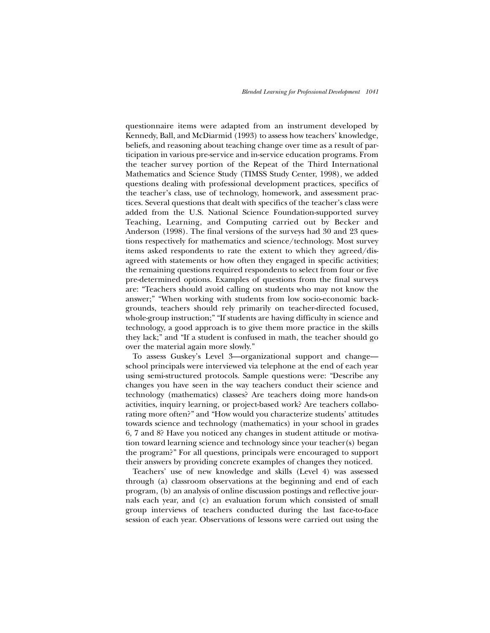questionnaire items were adapted from an instrument developed by Kennedy, Ball, and McDiarmid (1993) to assess how teachers' knowledge, beliefs, and reasoning about teaching change over time as a result of participation in various pre-service and in-service education programs. From the teacher survey portion of the Repeat of the Third International Mathematics and Science Study (TIMSS Study Center, 1998), we added questions dealing with professional development practices, specifics of the teacher's class, use of technology, homework, and assessment practices. Several questions that dealt with specifics of the teacher's class were added from the U.S. National Science Foundation-supported survey Teaching, Learning, and Computing carried out by Becker and Anderson (1998). The final versions of the surveys had 30 and 23 questions respectively for mathematics and science/technology. Most survey items asked respondents to rate the extent to which they agreed/disagreed with statements or how often they engaged in specific activities; the remaining questions required respondents to select from four or five pre-determined options. Examples of questions from the final surveys are: "Teachers should avoid calling on students who may not know the answer;" "When working with students from low socio-economic backgrounds, teachers should rely primarily on teacher-directed focused, whole-group instruction;" "If students are having difficulty in science and technology, a good approach is to give them more practice in the skills they lack;" and "If a student is confused in math, the teacher should go over the material again more slowly."

To assess Guskey's Level 3—organizational support and change school principals were interviewed via telephone at the end of each year using semi-structured protocols. Sample questions were: "Describe any changes you have seen in the way teachers conduct their science and technology (mathematics) classes? Are teachers doing more hands-on activities, inquiry learning, or project-based work? Are teachers collaborating more often?" and "How would you characterize students' attitudes towards science and technology (mathematics) in your school in grades 6, 7 and 8? Have you noticed any changes in student attitude or motivation toward learning science and technology since your teacher(s) began the program?" For all questions, principals were encouraged to support their answers by providing concrete examples of changes they noticed.

Teachers' use of new knowledge and skills (Level 4) was assessed through (a) classroom observations at the beginning and end of each program, (b) an analysis of online discussion postings and reflective journals each year, and (c) an evaluation forum which consisted of small group interviews of teachers conducted during the last face-to-face session of each year. Observations of lessons were carried out using the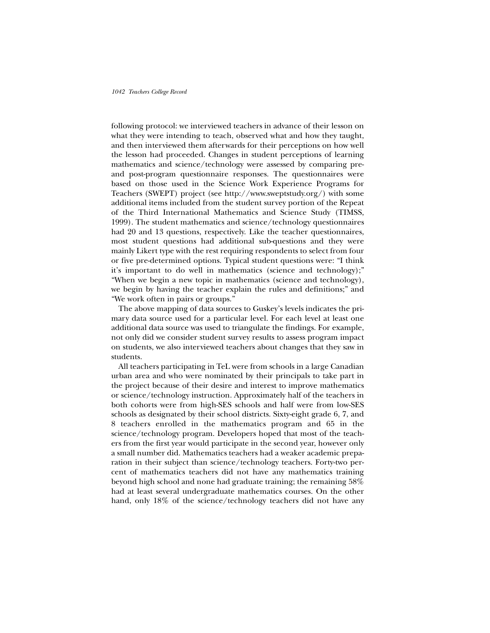following protocol: we interviewed teachers in advance of their lesson on what they were intending to teach, observed what and how they taught, and then interviewed them afterwards for their perceptions on how well the lesson had proceeded. Changes in student perceptions of learning mathematics and science/technology were assessed by comparing preand post-program questionnaire responses. The questionnaires were based on those used in the Science Work Experience Programs for Teachers (SWEPT) project (see http://www.sweptstudy.org/) with some additional items included from the student survey portion of the Repeat of the Third International Mathematics and Science Study (TIMSS, 1999). The student mathematics and science/technology questionnaires had 20 and 13 questions, respectively. Like the teacher questionnaires, most student questions had additional sub-questions and they were mainly Likert type with the rest requiring respondents to select from four or five pre-determined options. Typical student questions were: "I think it's important to do well in mathematics (science and technology);" "When we begin a new topic in mathematics (science and technology), we begin by having the teacher explain the rules and definitions;" and "We work often in pairs or groups."

The above mapping of data sources to Guskey's levels indicates the primary data source used for a particular level. For each level at least one additional data source was used to triangulate the findings. For example, not only did we consider student survey results to assess program impact on students, we also interviewed teachers about changes that they saw in students.

All teachers participating in TeL were from schools in a large Canadian urban area and who were nominated by their principals to take part in the project because of their desire and interest to improve mathematics or science/technology instruction. Approximately half of the teachers in both cohorts were from high-SES schools and half were from low-SES schools as designated by their school districts. Sixty-eight grade 6, 7, and 8 teachers enrolled in the mathematics program and 65 in the science/technology program. Developers hoped that most of the teachers from the first year would participate in the second year, however only a small number did. Mathematics teachers had a weaker academic preparation in their subject than science/technology teachers. Forty-two percent of mathematics teachers did not have any mathematics training beyond high school and none had graduate training; the remaining 58% had at least several undergraduate mathematics courses. On the other hand, only 18% of the science/technology teachers did not have any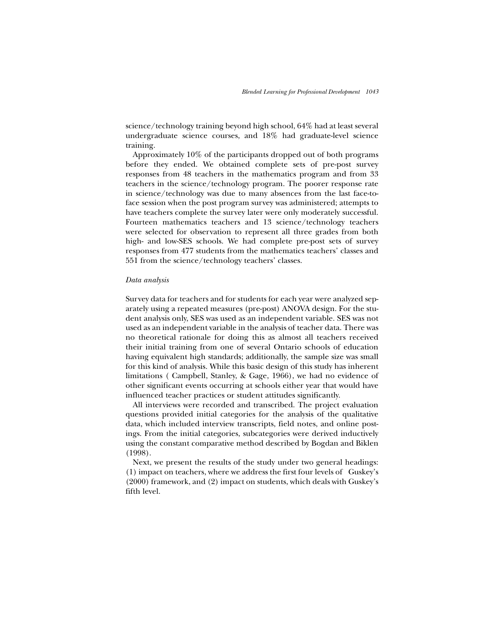science/technology training beyond high school, 64% had at least several undergraduate science courses, and 18% had graduate-level science training.

Approximately 10% of the participants dropped out of both programs before they ended. We obtained complete sets of pre-post survey responses from 48 teachers in the mathematics program and from 33 teachers in the science/technology program. The poorer response rate in science/technology was due to many absences from the last face-toface session when the post program survey was administered; attempts to have teachers complete the survey later were only moderately successful. Fourteen mathematics teachers and 13 science/technology teachers were selected for observation to represent all three grades from both high- and low-SES schools. We had complete pre-post sets of survey responses from 477 students from the mathematics teachers' classes and 551 from the science/technology teachers' classes.

# *Data analysis*

Survey data for teachers and for students for each year were analyzed separately using a repeated measures (pre-post) ANOVA design. For the student analysis only, SES was used as an independent variable. SES was not used as an independent variable in the analysis of teacher data. There was no theoretical rationale for doing this as almost all teachers received their initial training from one of several Ontario schools of education having equivalent high standards; additionally, the sample size was small for this kind of analysis. While this basic design of this study has inherent limitations ( Campbell, Stanley, & Gage, 1966), we had no evidence of other significant events occurring at schools either year that would have influenced teacher practices or student attitudes significantly.

All interviews were recorded and transcribed. The project evaluation questions provided initial categories for the analysis of the qualitative data, which included interview transcripts, field notes, and online postings. From the initial categories, subcategories were derived inductively using the constant comparative method described by Bogdan and Biklen (1998).

Next, we present the results of the study under two general headings: (1) impact on teachers, where we address the first four levels of Guskey's (2000) framework, and (2) impact on students, which deals with Guskey's fifth level.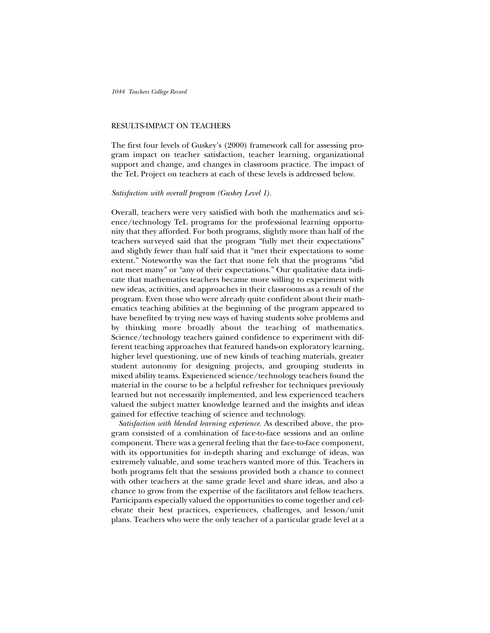# RESULTS-IMPACT ON TEACHERS

The first four levels of Guskey's (2000) framework call for assessing program impact on teacher satisfaction, teacher learning, organizational support and change, and changes in classroom practice. The impact of the TeL Project on teachers at each of these levels is addressed below.

## *Satisfaction with overall program (Guskey Level 1).*

Overall, teachers were very satisfied with both the mathematics and science/technology TeL programs for the professional learning opportunity that they afforded. For both programs, slightly more than half of the teachers surveyed said that the program "fully met their expectations" and slightly fewer than half said that it "met their expectations to some extent." Noteworthy was the fact that none felt that the programs "did not meet many" or "any of their expectations." Our qualitative data indicate that mathematics teachers became more willing to experiment with new ideas, activities, and approaches in their classrooms as a result of the program. Even those who were already quite confident about their mathematics teaching abilities at the beginning of the program appeared to have benefited by trying new ways of having students solve problems and by thinking more broadly about the teaching of mathematics. Science/technology teachers gained confidence to experiment with different teaching approaches that featured hands-on exploratory learning, higher level questioning, use of new kinds of teaching materials, greater student autonomy for designing projects, and grouping students in mixed ability teams. Experienced science/technology teachers found the material in the course to be a helpful refresher for techniques previously learned but not necessarily implemented, and less experienced teachers valued the subject matter knowledge learned and the insights and ideas gained for effective teaching of science and technology.

*Satisfaction with blended learning experience.* As described above, the program consisted of a combination of face-to-face sessions and an online component. There was a general feeling that the face-to-face component, with its opportunities for in-depth sharing and exchange of ideas, was extremely valuable, and some teachers wanted more of this. Teachers in both programs felt that the sessions provided both a chance to connect with other teachers at the same grade level and share ideas, and also a chance to grow from the expertise of the facilitators and fellow teachers. Participants especially valued the opportunities to come together and celebrate their best practices, experiences, challenges, and lesson/unit plans. Teachers who were the only teacher of a particular grade level at a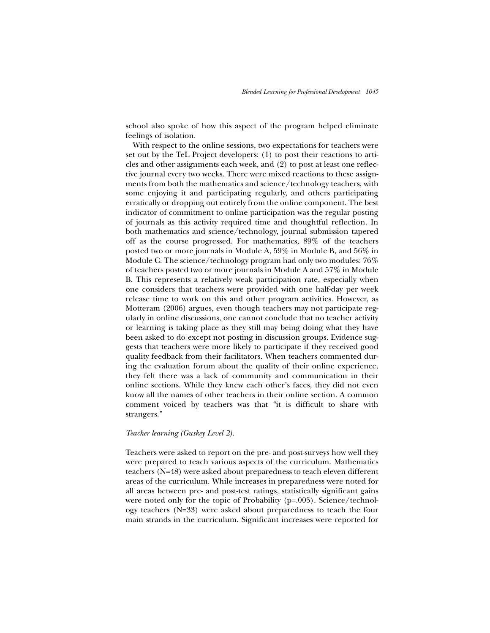school also spoke of how this aspect of the program helped eliminate feelings of isolation.

With respect to the online sessions, two expectations for teachers were set out by the TeL Project developers: (1) to post their reactions to articles and other assignments each week, and (2) to post at least one reflective journal every two weeks. There were mixed reactions to these assignments from both the mathematics and science/technology teachers, with some enjoying it and participating regularly, and others participating erratically or dropping out entirely from the online component. The best indicator of commitment to online participation was the regular posting of journals as this activity required time and thoughtful reflection. In both mathematics and science/technology, journal submission tapered off as the course progressed. For mathematics, 89% of the teachers posted two or more journals in Module A, 59% in Module B, and 56% in Module C. The science/technology program had only two modules: 76% of teachers posted two or more journals in Module A and 57% in Module B. This represents a relatively weak participation rate, especially when one considers that teachers were provided with one half-day per week release time to work on this and other program activities. However, as Motteram (2006) argues, even though teachers may not participate regularly in online discussions, one cannot conclude that no teacher activity or learning is taking place as they still may being doing what they have been asked to do except not posting in discussion groups. Evidence suggests that teachers were more likely to participate if they received good quality feedback from their facilitators. When teachers commented during the evaluation forum about the quality of their online experience, they felt there was a lack of community and communication in their online sections. While they knew each other's faces, they did not even know all the names of other teachers in their online section. A common comment voiced by teachers was that "it is difficult to share with strangers."

# *Teacher learning (Guskey Level 2).*

Teachers were asked to report on the pre- and post-surveys how well they were prepared to teach various aspects of the curriculum. Mathematics teachers (N=48) were asked about preparedness to teach eleven different areas of the curriculum. While increases in preparedness were noted for all areas between pre- and post-test ratings, statistically significant gains were noted only for the topic of Probability (p=.005). Science/technology teachers (N=33) were asked about preparedness to teach the four main strands in the curriculum. Significant increases were reported for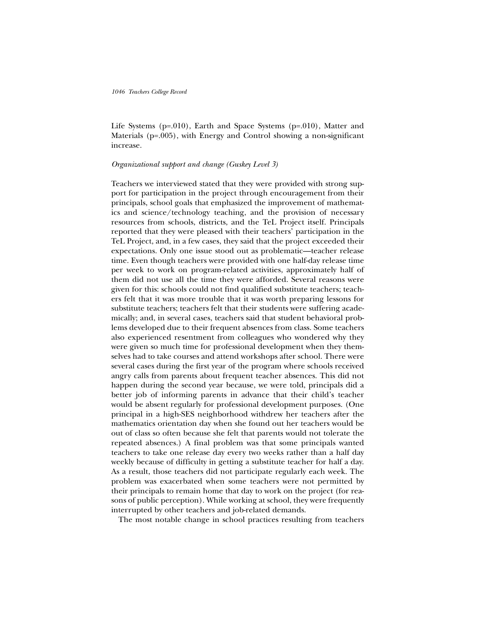Life Systems (p=.010), Earth and Space Systems (p=.010), Matter and Materials (p=.005), with Energy and Control showing a non-significant increase.

## *Organizational support and change (Guskey Level 3)*

Teachers we interviewed stated that they were provided with strong support for participation in the project through encouragement from their principals, school goals that emphasized the improvement of mathematics and science/technology teaching, and the provision of necessary resources from schools, districts, and the TeL Project itself. Principals reported that they were pleased with their teachers' participation in the TeL Project, and, in a few cases, they said that the project exceeded their expectations. Only one issue stood out as problematic—teacher release time. Even though teachers were provided with one half-day release time per week to work on program-related activities, approximately half of them did not use all the time they were afforded. Several reasons were given for this: schools could not find qualified substitute teachers; teachers felt that it was more trouble that it was worth preparing lessons for substitute teachers; teachers felt that their students were suffering academically; and, in several cases, teachers said that student behavioral problems developed due to their frequent absences from class. Some teachers also experienced resentment from colleagues who wondered why they were given so much time for professional development when they themselves had to take courses and attend workshops after school. There were several cases during the first year of the program where schools received angry calls from parents about frequent teacher absences. This did not happen during the second year because, we were told, principals did a better job of informing parents in advance that their child's teacher would be absent regularly for professional development purposes. (One principal in a high-SES neighborhood withdrew her teachers after the mathematics orientation day when she found out her teachers would be out of class so often because she felt that parents would not tolerate the repeated absences.) A final problem was that some principals wanted teachers to take one release day every two weeks rather than a half day weekly because of difficulty in getting a substitute teacher for half a day. As a result, those teachers did not participate regularly each week. The problem was exacerbated when some teachers were not permitted by their principals to remain home that day to work on the project (for reasons of public perception). While working at school, they were frequently interrupted by other teachers and job-related demands.

The most notable change in school practices resulting from teachers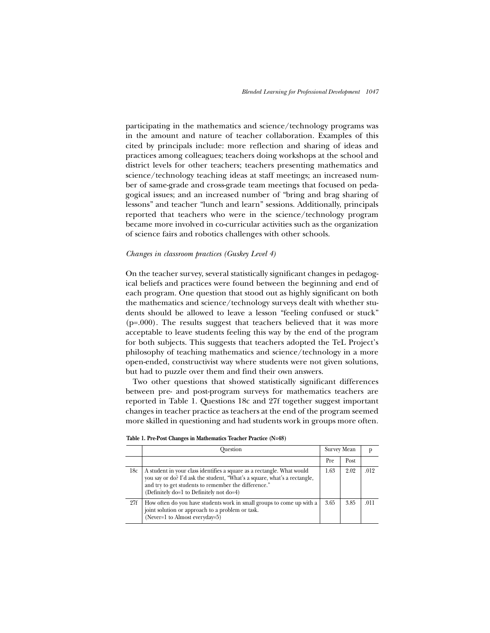participating in the mathematics and science/technology programs was in the amount and nature of teacher collaboration. Examples of this cited by principals include: more reflection and sharing of ideas and practices among colleagues; teachers doing workshops at the school and district levels for other teachers; teachers presenting mathematics and science/technology teaching ideas at staff meetings; an increased number of same-grade and cross-grade team meetings that focused on pedagogical issues; and an increased number of "bring and brag sharing of lessons" and teacher "lunch and learn" sessions. Additionally, principals reported that teachers who were in the science/technology program became more involved in co-curricular activities such as the organization of science fairs and robotics challenges with other schools.

# *Changes in classroom practices (Guskey Level 4)*

On the teacher survey, several statistically significant changes in pedagogical beliefs and practices were found between the beginning and end of each program. One question that stood out as highly significant on both the mathematics and science/technology surveys dealt with whether students should be allowed to leave a lesson "feeling confused or stuck" (p=.000). The results suggest that teachers believed that it was more acceptable to leave students feeling this way by the end of the program for both subjects. This suggests that teachers adopted the TeL Project's philosophy of teaching mathematics and science/technology in a more open-ended, constructivist way where students were not given solutions, but had to puzzle over them and find their own answers.

Two other questions that showed statistically significant differences between pre- and post-program surveys for mathematics teachers are reported in Table 1. Questions 18c and 27f together suggest important changes in teacher practice as teachers at the end of the program seemed more skilled in questioning and had students work in groups more often.

|     | Ouestion                                                                                                                                            | <b>Survey Mean</b> |      | $\mathbf{D}$ |
|-----|-----------------------------------------------------------------------------------------------------------------------------------------------------|--------------------|------|--------------|
|     |                                                                                                                                                     | Pre                | Post |              |
| 18c | A student in your class identifies a square as a rectangle. What would<br>you say or do? I'd ask the student, "What's a square, what's a rectangle, | 1.63               | 2.02 | .01          |

**Table 1. Pre-Post Changes in Mathematics Teacher Practice (N=48)**

|     |                                                                                                                                                                                                                                                         | .    | .    |      |
|-----|---------------------------------------------------------------------------------------------------------------------------------------------------------------------------------------------------------------------------------------------------------|------|------|------|
| 18c | A student in your class identifies a square as a rectangle. What would<br>you say or do? I'd ask the student, "What's a square, what's a rectangle,<br>and try to get students to remember the difference."<br>(Definitely do=1 to Definitely not do=4) | 1.63 | 2.02 | 019  |
| 27f | How often do you have students work in small groups to come up with a<br>joint solution or approach to a problem or task.<br>(Never=1 to Almost everyday=5)                                                                                             | 3.65 | 3.85 | .011 |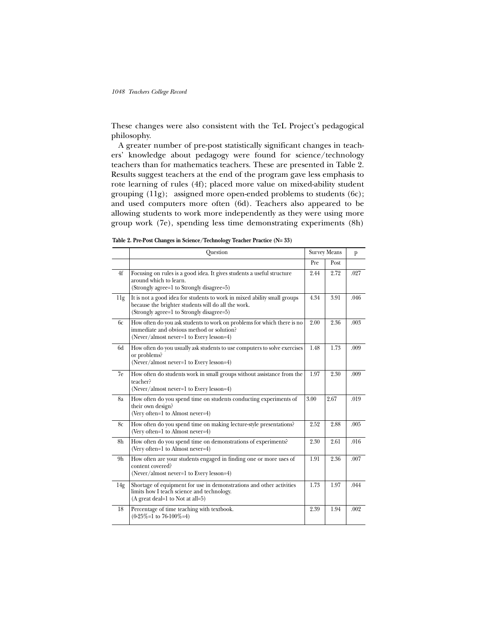These changes were also consistent with the TeL Project's pedagogical philosophy.

A greater number of pre-post statistically significant changes in teachers' knowledge about pedagogy were found for science/technology teachers than for mathematics teachers. These are presented in Table 2. Results suggest teachers at the end of the program gave less emphasis to rote learning of rules (4f); placed more value on mixed-ability student grouping (11g); assigned more open-ended problems to students (6c); and used computers more often (6d). Teachers also appeared to be allowing students to work more independently as they were using more group work (7e), spending less time demonstrating experiments (8h)

**Table 2. Pre-Post Changes in Science/Technology Teacher Practice (N= 33)**

|     | Question                                                                                                                                                                     | <b>Survey Means</b> |      | p    |
|-----|------------------------------------------------------------------------------------------------------------------------------------------------------------------------------|---------------------|------|------|
|     |                                                                                                                                                                              | Pre                 | Post |      |
| 4f  | Focusing on rules is a good idea. It gives students a useful structure<br>around which to learn.<br>(Strongly agree=1 to Strongly disagree=5)                                | 2.44                | 2.72 | .027 |
| 11g | It is not a good idea for students to work in mixed ability small groups<br>because the brighter students will do all the work.<br>(Strongly agree=1 to Strongly disagree=5) | 4.34                | 3.91 | .046 |
| 6c  | How often do you ask students to work on problems for which there is no<br>immediate and obvious method or solution?<br>(Never/almost never=1 to Every lesson=4)             | 2.00                | 2.36 | .003 |
| 6d  | How often do you usually ask students to use computers to solve exercises<br>or problems?<br>(Never/almost never=1 to Every lesson=4)                                        | 1.48                | 1.73 | .009 |
| 7e  | How often do students work in small groups without assistance from the<br>teacher?<br>(Never/almost never=1 to Every lesson=4)                                               | 1.97                | 2.30 | .009 |
| 8a  | How often do you spend time on students conducting experiments of<br>their own design?<br>(Very often=1 to Almost never=4)                                                   | 3.00                | 2.67 | .019 |
| 8c  | How often do you spend time on making lecture-style presentations?<br>(Very often=1 to Almost never=4)                                                                       | 2.52                | 2.88 | .005 |
| 8h  | How often do you spend time on demonstrations of experiments?<br>(Very often=1 to Almost never=4)                                                                            | 2.30                | 2.61 | .016 |
| 9h  | How often are your students engaged in finding one or more uses of<br>content covered?<br>(Never/almost never=1 to Every lesson=4)                                           | 1.91                | 2.36 | .007 |
| 14g | Shortage of equipment for use in demonstrations and other activities<br>limits how I teach science and technology.<br>(A great deal=1 to Not at all=5)                       | 1.73                | 1.97 | .044 |
| 18  | Percentage of time teaching with textbook.<br>$(0-25\% = 1$ to 76-100%=4)                                                                                                    | 2.39                | 1.94 | .002 |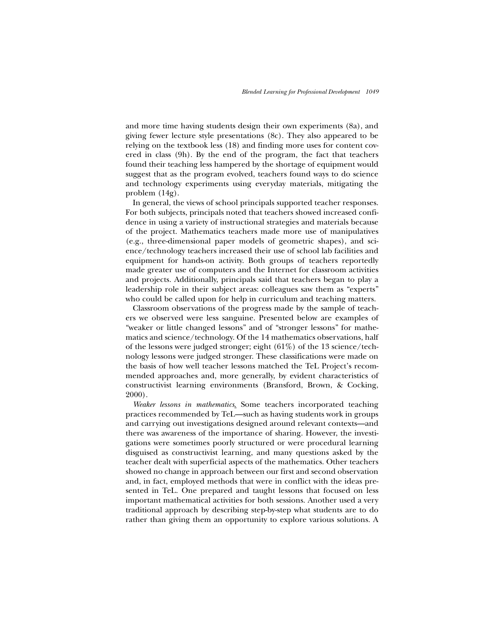and more time having students design their own experiments (8a), and giving fewer lecture style presentations (8c). They also appeared to be relying on the textbook less (18) and finding more uses for content covered in class (9h). By the end of the program, the fact that teachers found their teaching less hampered by the shortage of equipment would suggest that as the program evolved, teachers found ways to do science and technology experiments using everyday materials, mitigating the problem (14g).

In general, the views of school principals supported teacher responses. For both subjects, principals noted that teachers showed increased confidence in using a variety of instructional strategies and materials because of the project. Mathematics teachers made more use of manipulatives (e.g., three-dimensional paper models of geometric shapes), and science/technology teachers increased their use of school lab facilities and equipment for hands-on activity. Both groups of teachers reportedly made greater use of computers and the Internet for classroom activities and projects. Additionally, principals said that teachers began to play a leadership role in their subject areas: colleagues saw them as "experts" who could be called upon for help in curriculum and teaching matters.

Classroom observations of the progress made by the sample of teachers we observed were less sanguine. Presented below are examples of "weaker or little changed lessons" and of "stronger lessons" for mathematics and science/technology. Of the 14 mathematics observations, half of the lessons were judged stronger; eight (61%) of the 13 science/technology lessons were judged stronger. These classifications were made on the basis of how well teacher lessons matched the TeL Project's recommended approaches and, more generally, by evident characteristics of constructivist learning environments (Bransford, Brown, & Cocking, 2000).

*Weaker lessons in mathematics*. Some teachers incorporated teaching practices recommended by TeL—such as having students work in groups and carrying out investigations designed around relevant contexts—and there was awareness of the importance of sharing. However, the investigations were sometimes poorly structured or were procedural learning disguised as constructivist learning, and many questions asked by the teacher dealt with superficial aspects of the mathematics. Other teachers showed no change in approach between our first and second observation and, in fact, employed methods that were in conflict with the ideas presented in TeL. One prepared and taught lessons that focused on less important mathematical activities for both sessions. Another used a very traditional approach by describing step-by-step what students are to do rather than giving them an opportunity to explore various solutions. A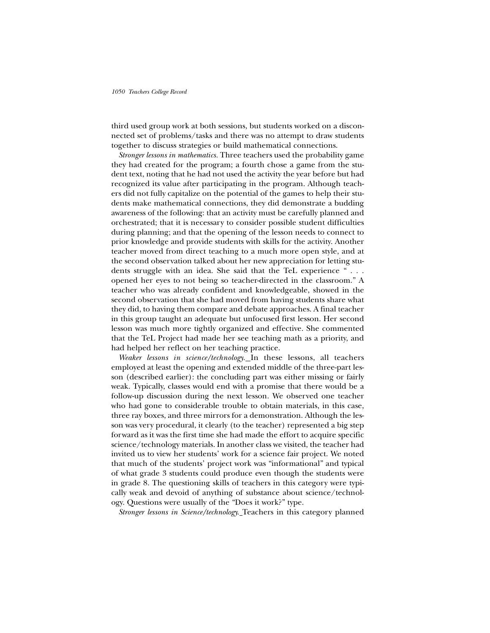third used group work at both sessions, but students worked on a disconnected set of problems/tasks and there was no attempt to draw students together to discuss strategies or build mathematical connections.

*Stronger lessons in mathematics.* Three teachers used the probability game they had created for the program; a fourth chose a game from the student text, noting that he had not used the activity the year before but had recognized its value after participating in the program. Although teachers did not fully capitalize on the potential of the games to help their students make mathematical connections, they did demonstrate a budding awareness of the following: that an activity must be carefully planned and orchestrated; that it is necessary to consider possible student difficulties during planning; and that the opening of the lesson needs to connect to prior knowledge and provide students with skills for the activity. Another teacher moved from direct teaching to a much more open style, and at the second observation talked about her new appreciation for letting students struggle with an idea. She said that the TeL experience " . . . opened her eyes to not being so teacher-directed in the classroom." A teacher who was already confident and knowledgeable, showed in the second observation that she had moved from having students share what they did, to having them compare and debate approaches. A final teacher in this group taught an adequate but unfocused first lesson. Her second lesson was much more tightly organized and effective. She commented that the TeL Project had made her see teaching math as a priority, and had helped her reflect on her teaching practice.

*Weaker lessons in science/technology.* In these lessons, all teachers employed at least the opening and extended middle of the three-part lesson (described earlier): the concluding part was either missing or fairly weak. Typically, classes would end with a promise that there would be a follow-up discussion during the next lesson. We observed one teacher who had gone to considerable trouble to obtain materials, in this case, three ray boxes, and three mirrors for a demonstration. Although the lesson was very procedural, it clearly (to the teacher) represented a big step forward as it was the first time she had made the effort to acquire specific science/technology materials. In another class we visited, the teacher had invited us to view her students' work for a science fair project. We noted that much of the students' project work was "informational" and typical of what grade 3 students could produce even though the students were in grade 8. The questioning skills of teachers in this category were typically weak and devoid of anything of substance about science/technology. Questions were usually of the "Does it work?" type.

*Stronger lessons in Science/technology.* Teachers in this category planned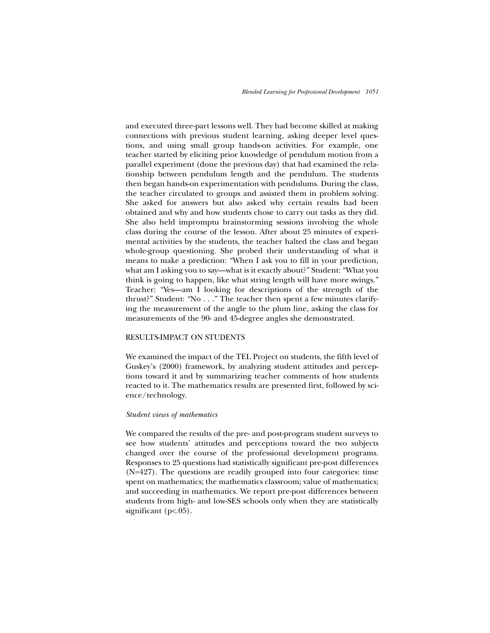and executed three-part lessons well. They had become skilled at making connections with previous student learning, asking deeper level questions, and using small group hands-on activities. For example, one teacher started by eliciting prior knowledge of pendulum motion from a parallel experiment (done the previous day) that had examined the relationship between pendulum length and the pendulum. The students then began hands-on experimentation with pendulums. During the class, the teacher circulated to groups and assisted them in problem solving. She asked for answers but also asked why certain results had been obtained and why and how students chose to carry out tasks as they did. She also held impromptu brainstorming sessions involving the whole class during the course of the lesson. After about 25 minutes of experimental activities by the students, the teacher halted the class and began whole-group questioning. She probed their understanding of what it means to make a prediction: "When I ask you to fill in your prediction, what am I asking you to say—what is it exactly about?" Student: "What you think is going to happen, like what string length will have more swings." Teacher: "Yes—am I looking for descriptions of the strength of the thrust?" Student: "No . . ." The teacher then spent a few minutes clarifying the measurement of the angle to the plum line, asking the class for measurements of the 90- and 45-degree angles she demonstrated.

# RESULTS-IMPACT ON STUDENTS

We examined the impact of the TEL Project on students, the fifth level of Guskey's (2000) framework, by analyzing student attitudes and perceptions toward it and by summarizing teacher comments of how students reacted to it. The mathematics results are presented first, followed by science/technology.

# *Student views of mathematics*

We compared the results of the pre- and post-program student surveys to see how students' attitudes and perceptions toward the two subjects changed over the course of the professional development programs. Responses to 25 questions had statistically significant pre-post differences (N=427). The questions are readily grouped into four categories: time spent on mathematics; the mathematics classroom; value of mathematics; and succeeding in mathematics. We report pre-post differences between students from high- and low-SES schools only when they are statistically significant (p<.05).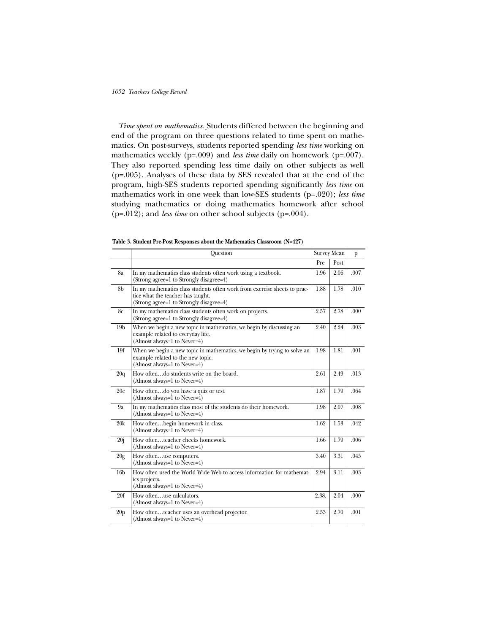*Time spent on mathematics.* Students differed between the beginning and end of the program on three questions related to time spent on mathematics. On post-surveys, students reported spending *less time* working on mathematics weekly (p=.009) and *less time* daily on homework (p=.007). They also reported spending less time daily on other subjects as well (p=.005). Analyses of these data by SES revealed that at the end of the program, high-SES students reported spending significantly *less time* on mathematics work in one week than low-SES students (p=.020); *less time* studying mathematics or doing mathematics homework after school (p=.012); and *less time* on other school subjects (p=.004).

**Table 3. Student Pre-Post Responses about the Mathematics Classroom (N=427)**

|                 | Question                                                                                                                                                  | Survey Mean |      | p    |
|-----------------|-----------------------------------------------------------------------------------------------------------------------------------------------------------|-------------|------|------|
|                 |                                                                                                                                                           | Pre         | Post |      |
| 8a              | In my mathematics class students often work using a textbook.<br>(Strong agree=1 to Strongly disagree=4)                                                  | 1.96        | 2.06 | .007 |
| 8b              | In my mathematics class students often work from exercise sheets to prac-<br>tice what the teacher has taught.<br>(Strong agree=1 to Strongly disagree=4) | 1.88        | 1.78 | .010 |
| 8c              | In my mathematics class students often work on projects.<br>(Strong agree=1 to Strongly disagree=4)                                                       | 2.57        | 2.78 | .000 |
| 19 <sub>b</sub> | When we begin a new topic in mathematics, we begin by discussing an<br>example related to everyday life.<br>(Almost always=1 to Never=4)                  | 2.40        | 2.24 | .003 |
| 19f             | When we begin a new topic in mathematics, we begin by trying to solve an<br>example related to the new topic.<br>(Almost always=1 to Never=4)             | 1.98        | 1.81 | .001 |
| 20q             | How oftendo students write on the board.<br>(Almost always=1 to Never=4)                                                                                  | 2.61        | 2.49 | .013 |
| 20c             | How oftendo you have a quiz or test.<br>(Almost always=1 to Never=4)                                                                                      | 1.87        | 1.79 | .064 |
| 9a              | In my mathematics class most of the students do their homework.<br>(Almost always=1 to Never=4)                                                           | 1.98        | 2.07 | .008 |
| 20k             | How oftenbegin homework in class.<br>(Almost always=1 to Never=4)                                                                                         | 1.62        | 1.53 | .042 |
| 20j             | How oftenteacher checks homework.<br>(Almost always=1 to Never=4)                                                                                         | 1.66        | 1.79 | .006 |
| 20 <sub>g</sub> | How oftenuse computers.<br>(Almost always=1 to Never=4)                                                                                                   | 3.40        | 3.31 | .045 |
| 16 <sub>b</sub> | How often used the World Wide Web to access information for mathemat-<br>ics projects.<br>(Almost always=1 to Never=4)                                    | 2.94        | 3.11 | .003 |
| 20f             | How oftenuse calculators.<br>(Almost always=1 to Never=4)                                                                                                 | 2.38.       | 2.04 | .000 |
| 20p             | How oftenteacher uses an overhead projector.<br>(Almost always=1 to Never=4)                                                                              | 2.53        | 2.70 | .001 |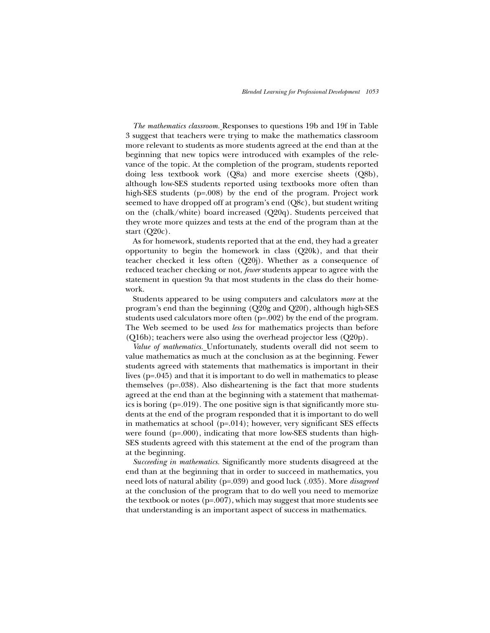*The mathematics classroom.* Responses to questions 19b and 19f in Table 3 suggest that teachers were trying to make the mathematics classroom more relevant to students as more students agreed at the end than at the beginning that new topics were introduced with examples of the relevance of the topic. At the completion of the program, students reported doing less textbook work (Q8a) and more exercise sheets (Q8b), although low-SES students reported using textbooks more often than high-SES students (p=.008) by the end of the program. Project work seemed to have dropped off at program's end (Q8c), but student writing on the (chalk/white) board increased  $(Q20q)$ . Students perceived that they wrote more quizzes and tests at the end of the program than at the start (Q20c).

As for homework, students reported that at the end, they had a greater opportunity to begin the homework in class (Q20k), and that their teacher checked it less often  $(Q20j)$ . Whether as a consequence of reduced teacher checking or not, *fewer* students appear to agree with the statement in question 9a that most students in the class do their homework.

Students appeared to be using computers and calculators *more* at the program's end than the beginning (Q20g and Q20f), although high-SES students used calculators more often (p=.002) by the end of the program. The Web seemed to be used *less* for mathematics projects than before (Q16b); teachers were also using the overhead projector less (Q20p).

*Value of mathematics.* Unfortunately, students overall did not seem to value mathematics as much at the conclusion as at the beginning. Fewer students agreed with statements that mathematics is important in their lives (p=.045) and that it is important to do well in mathematics to please themselves (p=.038). Also disheartening is the fact that more students agreed at the end than at the beginning with a statement that mathematics is boring (p=.019). The one positive sign is that significantly more students at the end of the program responded that it is important to do well in mathematics at school (p=.014); however, very significant SES effects were found (p=.000), indicating that more low-SES students than high-SES students agreed with this statement at the end of the program than at the beginning.

*Succeeding in mathematics.* Significantly more students disagreed at the end than at the beginning that in order to succeed in mathematics, you need lots of natural ability (p=.039) and good luck (.035). More *disagreed* at the conclusion of the program that to do well you need to memorize the textbook or notes  $(p=.007)$ , which may suggest that more students see that understanding is an important aspect of success in mathematics.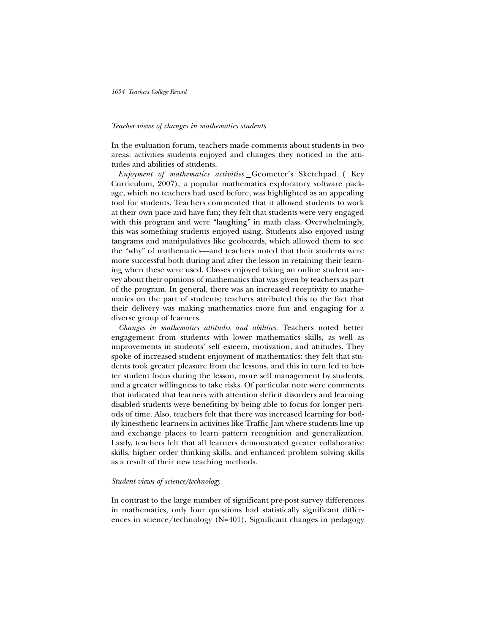#### *Teacher views of changes in mathematics students*

In the evaluation forum, teachers made comments about students in two areas: activities students enjoyed and changes they noticed in the attitudes and abilities of students.

*Enjoyment of mathematics activities.* Geometer's Sketchpad ( Key Curriculum, 2007), a popular mathematics exploratory software package, which no teachers had used before, was highlighted as an appealing tool for students. Teachers commented that it allowed students to work at their own pace and have fun; they felt that students were very engaged with this program and were "laughing" in math class. Overwhelmingly, this was something students enjoyed using. Students also enjoyed using tangrams and manipulatives like geoboards, which allowed them to see the "why" of mathematics—and teachers noted that their students were more successful both during and after the lesson in retaining their learning when these were used. Classes enjoyed taking an online student survey about their opinions of mathematics that was given by teachers as part of the program. In general, there was an increased receptivity to mathematics on the part of students; teachers attributed this to the fact that their delivery was making mathematics more fun and engaging for a diverse group of learners.

*Changes in mathematics attitudes and abilities.* Teachers noted better engagement from students with lower mathematics skills, as well as improvements in students' self esteem, motivation, and attitudes. They spoke of increased student enjoyment of mathematics: they felt that students took greater pleasure from the lessons, and this in turn led to better student focus during the lesson, more self management by students, and a greater willingness to take risks. Of particular note were comments that indicated that learners with attention deficit disorders and learning disabled students were benefiting by being able to focus for longer periods of time. Also, teachers felt that there was increased learning for bodily kinesthetic learners in activities like Traffic Jam where students line up and exchange places to learn pattern recognition and generalization. Lastly, teachers felt that all learners demonstrated greater collaborative skills, higher order thinking skills, and enhanced problem solving skills as a result of their new teaching methods.

# *Student views of science/technology*

In contrast to the large number of significant pre-post survey differences in mathematics, only four questions had statistically significant differences in science/technology (N=401). Significant changes in pedagogy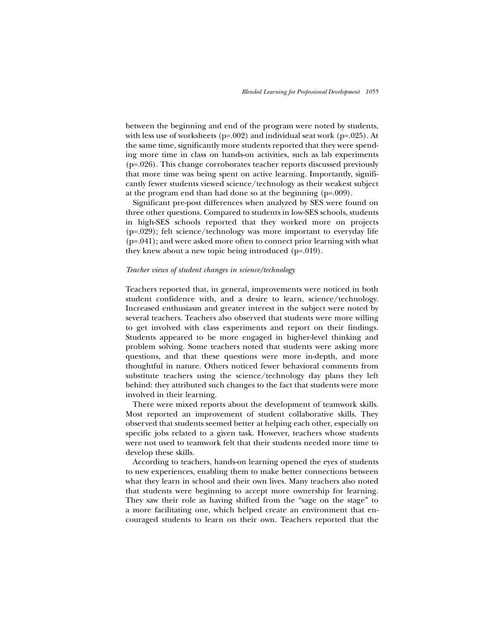between the beginning and end of the program were noted by students, with less use of worksheets ( $p=.002$ ) and individual seat work ( $p=.025$ ). At the same time, significantly more students reported that they were spending more time in class on hands-on activities, such as lab experiments (p=.026). This change corroborates teacher reports discussed previously that more time was being spent on active learning. Importantly, significantly fewer students viewed science/technology as their weakest subject at the program end than had done so at the beginning (p=.009).

Significant pre-post differences when analyzed by SES were found on three other questions. Compared to students in low-SES schools, students in high-SES schools reported that they worked more on projects (p=.029); felt science/technology was more important to everyday life (p=.041); and were asked more often to connect prior learning with what they knew about a new topic being introduced (p=.019).

# *Teacher views of student changes in science/technology*

Teachers reported that, in general, improvements were noticed in both student confidence with, and a desire to learn, science/technology. Increased enthusiasm and greater interest in the subject were noted by several teachers. Teachers also observed that students were more willing to get involved with class experiments and report on their findings. Students appeared to be more engaged in higher-level thinking and problem solving. Some teachers noted that students were asking more questions, and that these questions were more in-depth, and more thoughtful in nature. Others noticed fewer behavioral comments from substitute teachers using the science/technology day plans they left behind: they attributed such changes to the fact that students were more involved in their learning.

There were mixed reports about the development of teamwork skills. Most reported an improvement of student collaborative skills. They observed that students seemed better at helping each other, especially on specific jobs related to a given task. However, teachers whose students were not used to teamwork felt that their students needed more time to develop these skills.

According to teachers, hands-on learning opened the eyes of students to new experiences, enabling them to make better connections between what they learn in school and their own lives. Many teachers also noted that students were beginning to accept more ownership for learning. They saw their role as having shifted from the "sage on the stage" to a more facilitating one, which helped create an environment that encouraged students to learn on their own. Teachers reported that the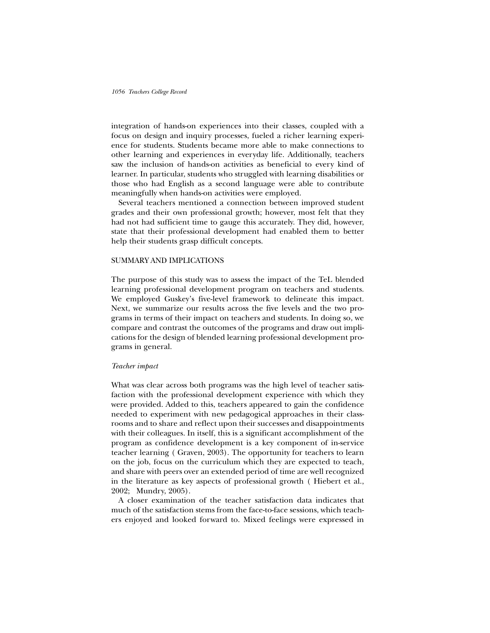integration of hands-on experiences into their classes, coupled with a focus on design and inquiry processes, fueled a richer learning experience for students. Students became more able to make connections to other learning and experiences in everyday life. Additionally, teachers saw the inclusion of hands-on activities as beneficial to every kind of learner. In particular, students who struggled with learning disabilities or those who had English as a second language were able to contribute meaningfully when hands-on activities were employed.

Several teachers mentioned a connection between improved student grades and their own professional growth; however, most felt that they had not had sufficient time to gauge this accurately. They did, however, state that their professional development had enabled them to better help their students grasp difficult concepts.

# SUMMARY AND IMPLICATIONS

The purpose of this study was to assess the impact of the TeL blended learning professional development program on teachers and students. We employed Guskey's five-level framework to delineate this impact. Next, we summarize our results across the five levels and the two programs in terms of their impact on teachers and students. In doing so, we compare and contrast the outcomes of the programs and draw out implications for the design of blended learning professional development programs in general.

#### *Teacher impact*

What was clear across both programs was the high level of teacher satisfaction with the professional development experience with which they were provided. Added to this, teachers appeared to gain the confidence needed to experiment with new pedagogical approaches in their classrooms and to share and reflect upon their successes and disappointments with their colleagues. In itself, this is a significant accomplishment of the program as confidence development is a key component of in-service teacher learning ( Graven, 2003). The opportunity for teachers to learn on the job, focus on the curriculum which they are expected to teach, and share with peers over an extended period of time are well recognized in the literature as key aspects of professional growth ( Hiebert et al., 2002; Mundry, 2005).

A closer examination of the teacher satisfaction data indicates that much of the satisfaction stems from the face-to-face sessions, which teachers enjoyed and looked forward to. Mixed feelings were expressed in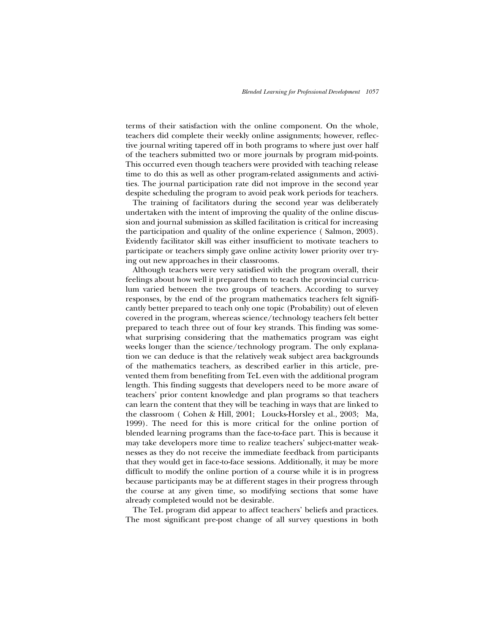terms of their satisfaction with the online component. On the whole, teachers did complete their weekly online assignments; however, reflective journal writing tapered off in both programs to where just over half of the teachers submitted two or more journals by program mid-points. This occurred even though teachers were provided with teaching release time to do this as well as other program-related assignments and activities. The journal participation rate did not improve in the second year despite scheduling the program to avoid peak work periods for teachers.

The training of facilitators during the second year was deliberately undertaken with the intent of improving the quality of the online discussion and journal submission as skilled facilitation is critical for increasing the participation and quality of the online experience ( Salmon, 2003). Evidently facilitator skill was either insufficient to motivate teachers to participate or teachers simply gave online activity lower priority over trying out new approaches in their classrooms.

Although teachers were very satisfied with the program overall, their feelings about how well it prepared them to teach the provincial curriculum varied between the two groups of teachers. According to survey responses, by the end of the program mathematics teachers felt significantly better prepared to teach only one topic (Probability) out of eleven covered in the program, whereas science/technology teachers felt better prepared to teach three out of four key strands. This finding was somewhat surprising considering that the mathematics program was eight weeks longer than the science/technology program. The only explanation we can deduce is that the relatively weak subject area backgrounds of the mathematics teachers, as described earlier in this article, prevented them from benefiting from TeL even with the additional program length. This finding suggests that developers need to be more aware of teachers' prior content knowledge and plan programs so that teachers can learn the content that they will be teaching in ways that are linked to the classroom ( Cohen & Hill, 2001; Loucks-Horsley et al., 2003; Ma, 1999). The need for this is more critical for the online portion of blended learning programs than the face-to-face part. This is because it may take developers more time to realize teachers' subject-matter weaknesses as they do not receive the immediate feedback from participants that they would get in face-to-face sessions. Additionally, it may be more difficult to modify the online portion of a course while it is in progress because participants may be at different stages in their progress through the course at any given time, so modifying sections that some have already completed would not be desirable.

The TeL program did appear to affect teachers' beliefs and practices. The most significant pre-post change of all survey questions in both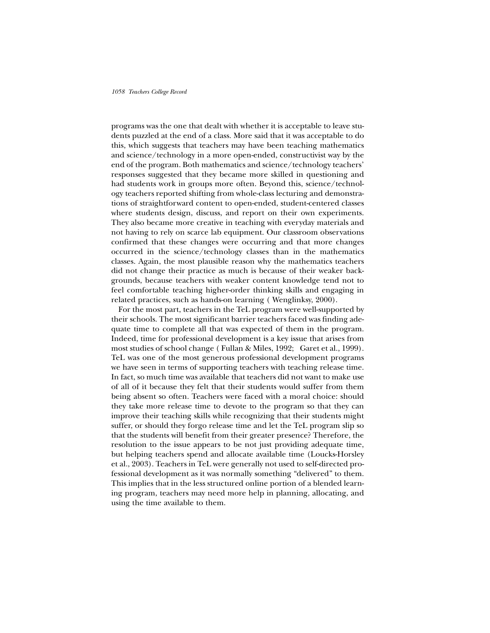programs was the one that dealt with whether it is acceptable to leave students puzzled at the end of a class. More said that it was acceptable to do this, which suggests that teachers may have been teaching mathematics and science/technology in a more open-ended, constructivist way by the end of the program. Both mathematics and science/technology teachers' responses suggested that they became more skilled in questioning and had students work in groups more often. Beyond this, science/technology teachers reported shifting from whole-class lecturing and demonstrations of straightforward content to open-ended, student-centered classes where students design, discuss, and report on their own experiments. They also became more creative in teaching with everyday materials and not having to rely on scarce lab equipment. Our classroom observations confirmed that these changes were occurring and that more changes occurred in the science/technology classes than in the mathematics classes. Again, the most plausible reason why the mathematics teachers did not change their practice as much is because of their weaker backgrounds, because teachers with weaker content knowledge tend not to feel comfortable teaching higher-order thinking skills and engaging in related practices, such as hands-on learning ( Wenglinksy, 2000).

For the most part, teachers in the TeL program were well-supported by their schools. The most significant barrier teachers faced was finding adequate time to complete all that was expected of them in the program. Indeed, time for professional development is a key issue that arises from most studies of school change ( Fullan & Miles, 1992; Garet et al., 1999). TeL was one of the most generous professional development programs we have seen in terms of supporting teachers with teaching release time. In fact, so much time was available that teachers did not want to make use of all of it because they felt that their students would suffer from them being absent so often. Teachers were faced with a moral choice: should they take more release time to devote to the program so that they can improve their teaching skills while recognizing that their students might suffer, or should they forgo release time and let the TeL program slip so that the students will benefit from their greater presence? Therefore, the resolution to the issue appears to be not just providing adequate time, but helping teachers spend and allocate available time (Loucks-Horsley et al., 2003). Teachers in TeL were generally not used to self-directed professional development as it was normally something "delivered" to them. This implies that in the less structured online portion of a blended learning program, teachers may need more help in planning, allocating, and using the time available to them.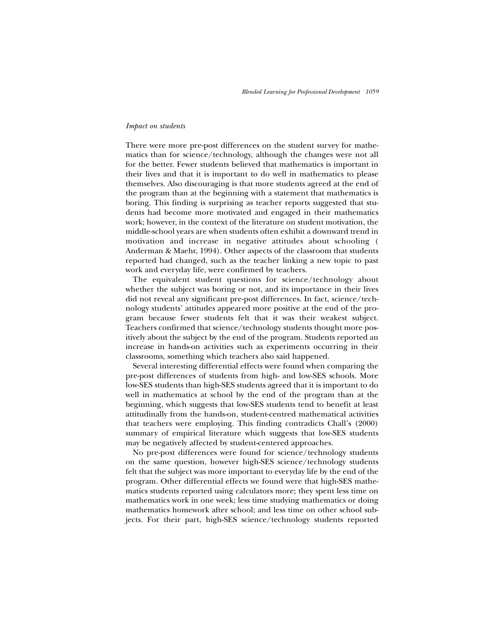# *Impact on students*

There were more pre-post differences on the student survey for mathematics than for science/technology, although the changes were not all for the better. Fewer students believed that mathematics is important in their lives and that it is important to do well in mathematics to please themselves. Also discouraging is that more students agreed at the end of the program than at the beginning with a statement that mathematics is boring. This finding is surprising as teacher reports suggested that students had become more motivated and engaged in their mathematics work; however, in the context of the literature on student motivation, the middle-school years are when students often exhibit a downward trend in motivation and increase in negative attitudes about schooling ( Anderman & Maehr, 1994). Other aspects of the classroom that students reported had changed, such as the teacher linking a new topic to past work and everyday life, were confirmed by teachers.

The equivalent student questions for science/technology about whether the subject was boring or not, and its importance in their lives did not reveal any significant pre-post differences. In fact, science/technology students' attitudes appeared more positive at the end of the program because fewer students felt that it was their weakest subject. Teachers confirmed that science/technology students thought more positively about the subject by the end of the program. Students reported an increase in hands-on activities such as experiments occurring in their classrooms, something which teachers also said happened.

Several interesting differential effects were found when comparing the pre-post differences of students from high- and low-SES schools. More low-SES students than high-SES students agreed that it is important to do well in mathematics at school by the end of the program than at the beginning, which suggests that low-SES students tend to benefit at least attitudinally from the hands-on, student-centred mathematical activities that teachers were employing. This finding contradicts Chall's (2000) summary of empirical literature which suggests that low-SES students may be negatively affected by student-centered approaches.

No pre-post differences were found for science/technology students on the same question, however high-SES science/technology students felt that the subject was more important to everyday life by the end of the program. Other differential effects we found were that high-SES mathematics students reported using calculators more; they spent less time on mathematics work in one week; less time studying mathematics or doing mathematics homework after school; and less time on other school subjects. For their part, high-SES science/technology students reported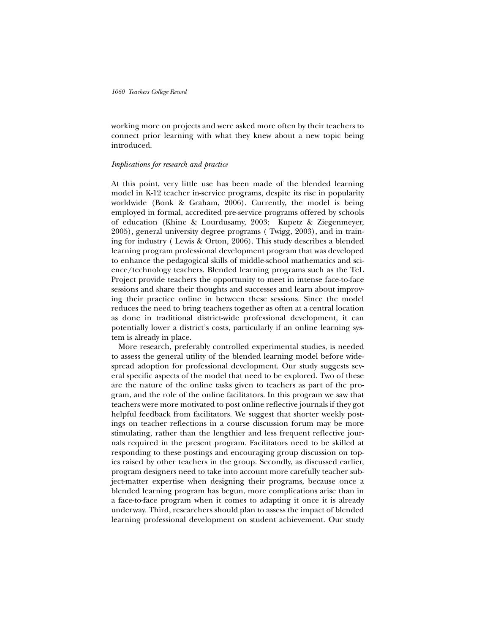working more on projects and were asked more often by their teachers to connect prior learning with what they knew about a new topic being introduced.

#### *Implications for research and practice*

At this point, very little use has been made of the blended learning model in K-12 teacher in-service programs, despite its rise in popularity worldwide (Bonk & Graham, 2006). Currently, the model is being employed in formal, accredited pre-service programs offered by schools of education (Khine & Lourdusamy, 2003; Kupetz & Ziegenmeyer, 2005), general university degree programs ( Twigg, 2003), and in training for industry ( Lewis & Orton, 2006). This study describes a blended learning program professional development program that was developed to enhance the pedagogical skills of middle-school mathematics and science/technology teachers. Blended learning programs such as the TeL Project provide teachers the opportunity to meet in intense face-to-face sessions and share their thoughts and successes and learn about improving their practice online in between these sessions. Since the model reduces the need to bring teachers together as often at a central location as done in traditional district-wide professional development, it can potentially lower a district's costs, particularly if an online learning system is already in place.

More research, preferably controlled experimental studies, is needed to assess the general utility of the blended learning model before widespread adoption for professional development. Our study suggests several specific aspects of the model that need to be explored. Two of these are the nature of the online tasks given to teachers as part of the program, and the role of the online facilitators. In this program we saw that teachers were more motivated to post online reflective journals if they got helpful feedback from facilitators. We suggest that shorter weekly postings on teacher reflections in a course discussion forum may be more stimulating, rather than the lengthier and less frequent reflective journals required in the present program. Facilitators need to be skilled at responding to these postings and encouraging group discussion on topics raised by other teachers in the group. Secondly, as discussed earlier, program designers need to take into account more carefully teacher subject-matter expertise when designing their programs, because once a blended learning program has begun, more complications arise than in a face-to-face program when it comes to adapting it once it is already underway. Third, researchers should plan to assess the impact of blended learning professional development on student achievement. Our study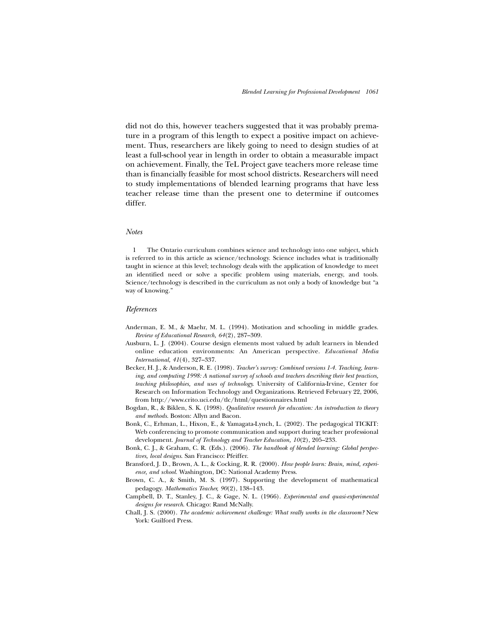did not do this, however teachers suggested that it was probably premature in a program of this length to expect a positive impact on achievement. Thus, researchers are likely going to need to design studies of at least a full-school year in length in order to obtain a measurable impact on achievement. Finally, the TeL Project gave teachers more release time than is financially feasible for most school districts. Researchers will need to study implementations of blended learning programs that have less teacher release time than the present one to determine if outcomes differ.

# *Notes*

1 The Ontario curriculum combines science and technology into one subject, which is referred to in this article as science/technology. Science includes what is traditionally taught in science at this level; technology deals with the application of knowledge to meet an identified need or solve a specific problem using materials, energy, and tools. Science/technology is described in the curriculum as not only a body of knowledge but "a way of knowing."

# *References*

- Anderman, E. M., & Maehr, M. L. (1994). Motivation and schooling in middle grades. *Review of Educational Research, 64*(2), 287–309.
- Ausburn, L. J. (2004). Course design elements most valued by adult learners in blended online education environments: An American perspective. *Educational Media International, 41*(4), 327–337.
- Becker, H. J., & Anderson, R. E. (1998). *Teacher's survey: Combined versions 1-4. Teaching, learning, and computing 1998: A national survey of schools and teachers describing their best practices, teaching philosophies, and uses of technology.* University of California-Irvine, Center for Research on Information Technology and Organizations. Retrieved February 22, 2006, from http://www.crito.uci.edu/tlc/html/questionnaires.html
- Bogdan, R., & Biklen, S. K. (1998). *Qualitative research for education: An introduction to theory and methods*. Boston: Allyn and Bacon.
- Bonk, C., Erhman, L., Hixon, E., & Yamagata-Lynch, L. (2002). The pedagogical TICKIT: Web conferencing to promote communication and support during teacher professional development. *Journal of Technology and Teacher Education, 10*(2), 205–233.
- Bonk, C. J., & Graham, C. R. (Eds.). (2006). *The handbook of blended learning: Global perspectives, local designs*. San Francisco: Pfeiffer.
- Bransford, J. D., Brown, A. L., & Cocking, R. R. (2000). *How people learn: Brain, mind, experience, and school.* Washington, DC: National Academy Press.
- Brown, C. A., & Smith, M. S. (1997). Supporting the development of mathematical pedagogy. *Mathematics Teacher, 90*(2), 138–143.
- Campbell, D. T., Stanley, J. C., & Gage, N. L. (1966). *Experimental and quasi-experimental designs for research*. Chicago: Rand McNally.
- Chall, J. S. (2000). *The academic achievement challenge: What really works in the classroom?* New York: Guilford Press.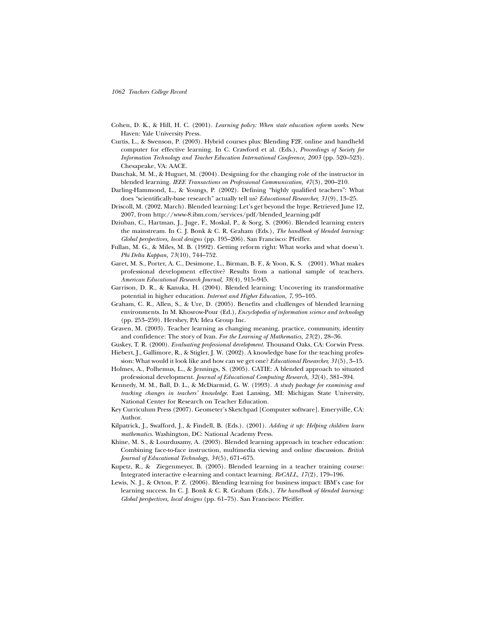- Cohen, D. K., & Hill, H. C. (2001). *Learning policy: When state education reform works*. New Haven: Yale University Press.
- Curtis, L., & Swenson, P. (2003). Hybrid courses plus: Blending F2F, online and handheld computer for effective learning. In C. Crawford et al. (Eds.), *Proceedings of Society for Information Technology and Teacher Education International Conference, 2003* (pp. 520–523). Chesapeake, VA: AACE.
- Danchak, M. M., & Huguet, M. (2004). Designing for the changing role of the instructor in blended learning. *IEEE Transactions on Professional Communication, 47*(3), 200–210.
- Darling-Hammond, L., & Youngs, P. (2002). Defining "highly qualified teachers": What does "scientifically-base research" actually tell us? *Educational Researcher, 31*(9), 13–25.
- Driscoll, M. (2002, March). Blended learning: Let's get beyond the hype. Retrieved June 12, 2007, from http://www-8.ibm.com/services/pdf/blended\_learning.pdf
- Dziuban, C., Hartman, J., Juge, F., Moskal, P., & Sorg, S. (2006). Blended learning enters the mainstream. In C. J. Bonk & C. R. Graham (Eds.), *The handbook of blended learning: Global perspectives, local designs* (pp. 195–206). San Francisco: Pfeiffer.
- Fullan, M. G., & Miles, M. B. (1992). Getting reform right: What works and what doesn't. *Phi Delta Kappan, 73*(10), 744–752.
- Garet, M. S., Porter, A. C., Desimone, L., Birman, B. F., & Yoon, K. S. (2001). What makes professional development effective? Results from a national sample of teachers. *American Educational Research Journal, 38*(4), 915–945.
- Garrison, D. R., & Kanuka, H. (2004). Blended learning: Uncovering its transformative potential in higher education. *Internet and Higher Education, 7*, 95–105.
- Graham, C. R., Allen, S., & Ure, D. (2005). Benefits and challenges of blended learning environments. In M. Khosrow-Pour (Ed.), *Encyclopedia of information science and technology* (pp. 253–259). Hershey, PA: Idea Group Inc.
- Graven, M. (2003). Teacher learning as changing meaning, practice, community, identity and confidence: The story of Ivan. *For the Learning of Mathematics, 23*(2), 28–36.
- Guskey, T. R. (2000). *Evaluating professional development*. Thousand Oaks, CA: Corwin Press.
- Hiebert, J., Gallimore, R., & Stigler, J. W. (2002). A knowledge base for the teaching profession: What would it look like and how can we get one? *Educational Researcher, 31*(5), 3–15.
- Holmes, A., Polhemus, L., & Jennings, S. (2005). CATIE: A blended approach to situated professional development. *Journal of Educational Computing Research, 32*(4), 381–394.
- Kennedy, M. M., Ball, D. L., & McDiarmid, G. W. (1993). *A study package for examining and tracking changes in teachers' knowledge*. East Lansing, MI: Michigan State University, National Center for Research on Teacher Education.
- Key Curriculum Press (2007). Geometer's Sketchpad [Computer software]. Emeryville, CA: Author.
- Kilpatrick, J., Swafford, J., & Findell, B. (Eds.). (2001). *Adding it up: Helping children learn mathematics*. Washington, DC: National Academy Press.
- Khine, M. S., & Lourdusamy, A. (2003). Blended learning approach in teacher education: Combining face-to-face instruction, multimedia viewing and online discussion. *British Journal of Educational Technology*, *34*(5), 671–675.
- Kupetz, R., & Ziegenmeyer, B. (2005). Blended learning in a teacher training course: Integrated interactive e-learning and contact learning. *ReCALL, 17*(2), 179–196.
- Lewis, N. J., & Orton, P. Z. (2006). Blending learning for business impact: IBM's case for learning success. In C. J. Bonk & C. R. Graham (Eds.), *The handbook of blended learning: Global perspectives, local designs* (pp. 61–75). San Francisco: Pfeiffer.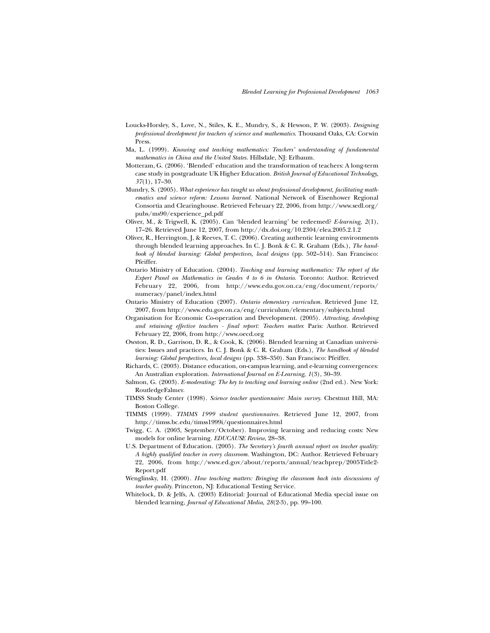- Loucks-Horsley, S., Love, N., Stiles, K. E., Mundry, S., & Hewson, P. W. (2003). *Designing professional development for teachers of science and mathematics*. Thousand Oaks, CA: Corwin Press.
- Ma, L. (1999). *Knowing and teaching mathematics: Teachers' understanding of fundamental mathematics in China and the United States.* Hillsdale, NJ: Erlbaum.
- Motteram, G. (2006). 'Blended' education and the transformation of teachers: A long-term case study in postgraduate UK Higher Education. *British Journal of Educational Technology, 37*(1), 17–30.
- Mundry, S. (2005). *What experience has taught us about professional development, facilitating mathematics and science reform: Lessons learned.* National Network of Eisenhower Regional Consortia and Clearinghouse. Retrieved February 22, 2006, from http://www.sedl.org/ pubs/ms90/experience\_pd.pdf
- Oliver, M., & Trigwell, K. (2005). Can 'blended learning' be redeemed? *E-learning, 2*(1), 17–26. Retrieved June 12, 2007, from http://dx.doi.org/10.2304/elea.2005.2.1.2
- Oliver, R., Herrington, J, & Reeves, T. C. (2006). Creating authentic learning environments through blended learning approaches. In C. J. Bonk & C. R. Graham (Eds.), *The handbook of blended learning: Global perspectives, local designs* (pp. 502–514). San Francisco: Pfeiffer.
- Ontario Ministry of Education. (2004). *Teaching and learning mathematics: The report of the Expert Panel on Mathematics in Grades 4 to 6 in Ontario.* Toronto: Author. Retrieved February 22, 2006, from http://www.edu.gov.on.ca/eng/document/reports/ numeracy/panel/index.html
- Ontario Ministry of Education (2007). *Ontario elementary curriculum.* Retrieved June 12, 2007, from http://www.edu.gov.on.ca/eng/curriculum/elementary/subjects.html
- Organisation for Economic Co-operation and Development. (2005). *Attracting, developing and retaining effective teachers - final report: Teachers matter.* Paris: Author. Retrieved February 22, 2006, from http://www.oecd.org
- Owston, R. D., Garrison, D. R., & Cook, K. (2006). Blended learning at Canadian universities: Issues and practices. In C. J. Bonk & C. R. Graham (Eds.), *The handbook of blended learning: Global perspectives, local designs* (pp. 338–350). San Francisco: Pfeiffer.
- Richards, C. (2003). Distance education, on-campus learning, and e-learning convergences: An Australian exploration. *International Journal on E-Learning, 1*(3), 30–39.
- Salmon, G. (2003). *E-moderating: The key to teaching and learning online* (2nd ed.). New York: RoutledgeFalmer.
- TIMSS Study Center (1998). *Science teacher questionnaire: Main survey*. Chestnut Hill, MA: Boston College.
- TIMMS (1999). *TIMMS 1999 student questionnaires.* Retrieved June 12, 2007, from http://timss.bc.edu/timss1999i/questionnaires.html
- Twigg, C. A. (2003, September/October). Improving learning and reducing costs: New models for online learning. *EDUCAUSE Review*, 28–38.
- U.S. Department of Education. (2005). *The Secretary's fourth annual report on teacher quality: A highly qualified teacher in every classroom.* Washington, DC: Author. Retrieved February 22, 2006, from http://www.ed.gov/about/reports/annual/teachprep/2005Title2- Report.pdf
- Wenglinsky, H. (2000). *How teaching matters: Bringing the classroom back into discussions of teacher quality*. Princeton, NJ: Educational Testing Service.
- Whitelock, D. & Jelfs, A. (2003) Editorial: Journal of Educational Media special issue on blended learning, *Journal of Educational Media*, *28*(2-3), pp. 99–100.